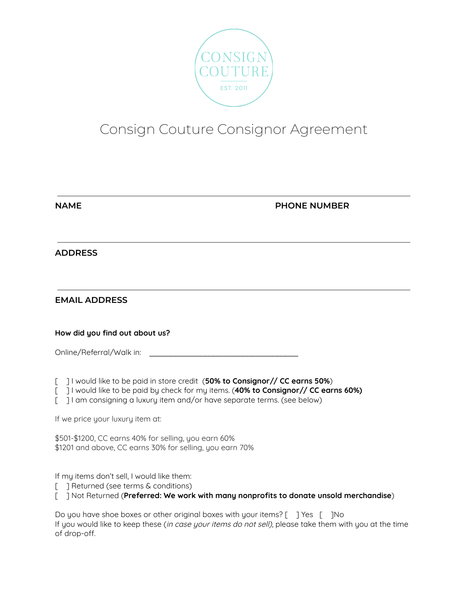

# Consign Couture Consignor Agreement

| . . | - | v. |  |
|-----|---|----|--|
|     |   |    |  |
|     |   |    |  |

## **NAME PHONE NUMBER**

## **ADDRESS**

## **EMAIL ADDRESS**

#### **How did you find out about us?**

| Online/Referral/Walk in: |  |
|--------------------------|--|
|--------------------------|--|

[ ] I would like to be paid in store credit (**50% to Consignor// CC earns 50%**)

[ ] I would like to be paid by check for my items. (**40% to Consignor// CC earns 60%)**

[ ] I am consigning a luxury item and/or have separate terms. (see below)

If we price your luxury item at:

\$501-\$1200, CC earns 40% for selling, you earn 60% \$1201 and above, CC earns 30% for selling, you earn 70%

If my items don't sell, I would like them:

[ ] Returned (see terms & conditions)

[ ] Not Returned (**Preferred: We work with many nonprofits to donate unsold merchandise**)

Do you have shoe boxes or other original boxes with your items? [ ] Yes [ ] No If you would like to keep these (in case your items do not sell), please take them with you at the time of drop-off.